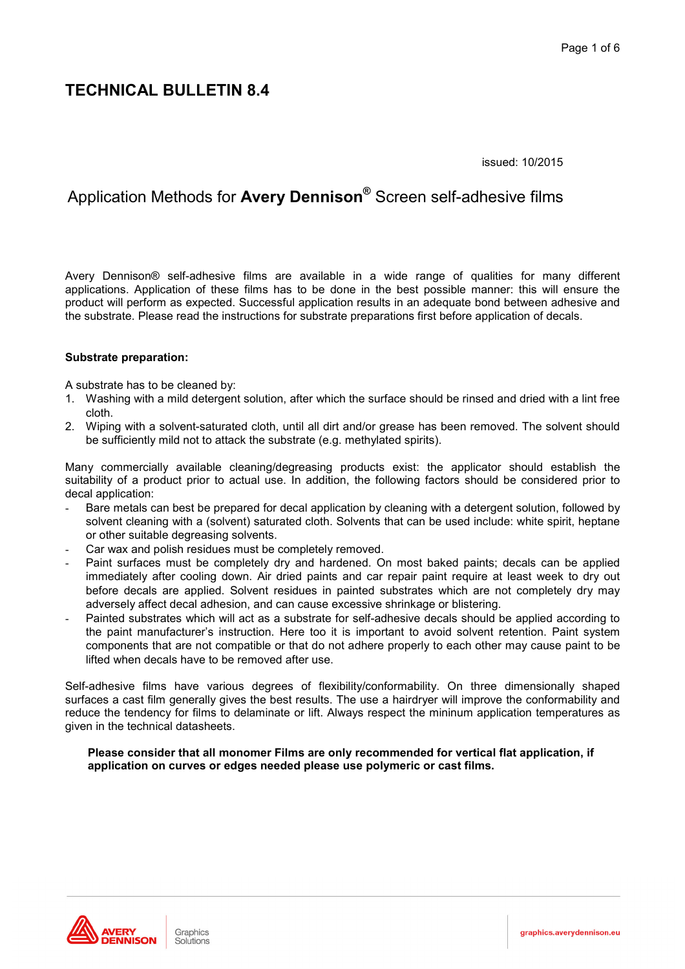issued: 10/2015

### Application Methods for Avery Dennison<sup>®</sup> Screen self-adhesive films

Avery Dennison® self-adhesive films are available in a wide range of qualities for many different applications. Application of these films has to be done in the best possible manner: this will ensure the product will perform as expected. Successful application results in an adequate bond between adhesive and the substrate. Please read the instructions for substrate preparations first before application of decals.

#### **Substrate preparation:**

A substrate has to be cleaned by:

- 1. Washing with a mild detergent solution, after which the surface should be rinsed and dried with a lint free cloth.
- $2<sub>1</sub>$ Wiping with a solvent-saturated cloth, until all dirt and/or grease has been removed. The solvent should be sufficiently mild not to attack the substrate (e.g. methylated spirits).

Many commercially available cleaning/degreasing products exist: the applicator should establish the suitability of a product prior to actual use. In addition, the following factors should be considered prior to decal application:

- Bare metals can best be prepared for decal application by cleaning with a detergent solution, followed by solvent cleaning with a (solvent) saturated cloth. Solvents that can be used include: white spirit, heptane or other suitable degreasing solvents.
- Car wax and polish residues must be completely removed.
- Paint surfaces must be completely dry and hardened. On most baked paints; decals can be applied immediately after cooling down. Air dried paints and car repair paint require at least week to dry out before decals are applied. Solvent residues in painted substrates which are not completely dry may adversely affect decal adhesion, and can cause excessive shrinkage or blistering.
- Painted substrates which will act as a substrate for self-adhesive decals should be applied according to the paint manufacturer's instruction. Here too it is important to avoid solvent retention. Paint system components that are not compatible or that do not adhere properly to each other may cause paint to be lifted when decals have to be removed after use.

Self-adhesive films have various degrees of flexibility/conformability. On three dimensionally shaped surfaces a cast film generally gives the best results. The use a hairdryer will improve the conformability and reduce the tendency for films to delaminate or lift. Always respect the mininum application temperatures as given in the technical datasheets.

#### Please consider that all monomer Films are only recommended for vertical flat application, if application on curves or edges needed please use polymeric or cast films.

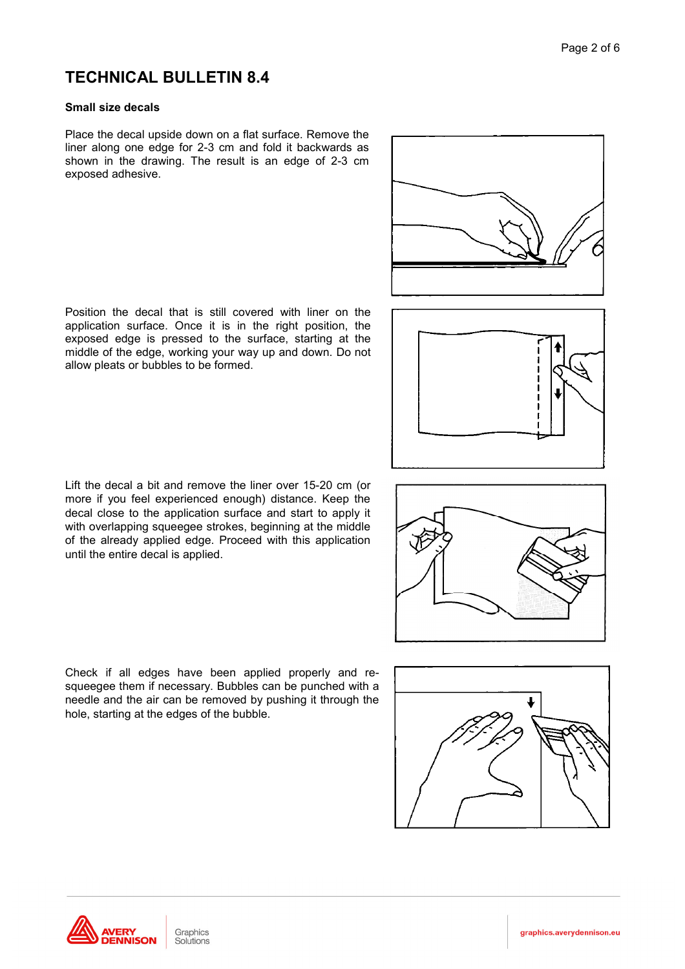### Small size decals

Place the decal upside down on a flat surface. Remove the liner along one edge for 2-3 cm and fold it backwards as shown in the drawing. The result is an edge of 2-3 cm exposed adhesive.

Position the decal that is still covered with liner on the application surface. Once it is in the right position, the exposed edge is pressed to the surface, starting at the middle of the edge, working your way up and down. Do not allow pleats or bubbles to be formed.

Lift the decal a bit and remove the liner over 15-20 cm (or more if you feel experienced enough) distance. Keep the decal close to the application surface and start to apply it with overlapping squeeqee strokes, beginning at the middle of the already applied edge. Proceed with this application until the entire decal is applied.

graphics.averydennison.eu











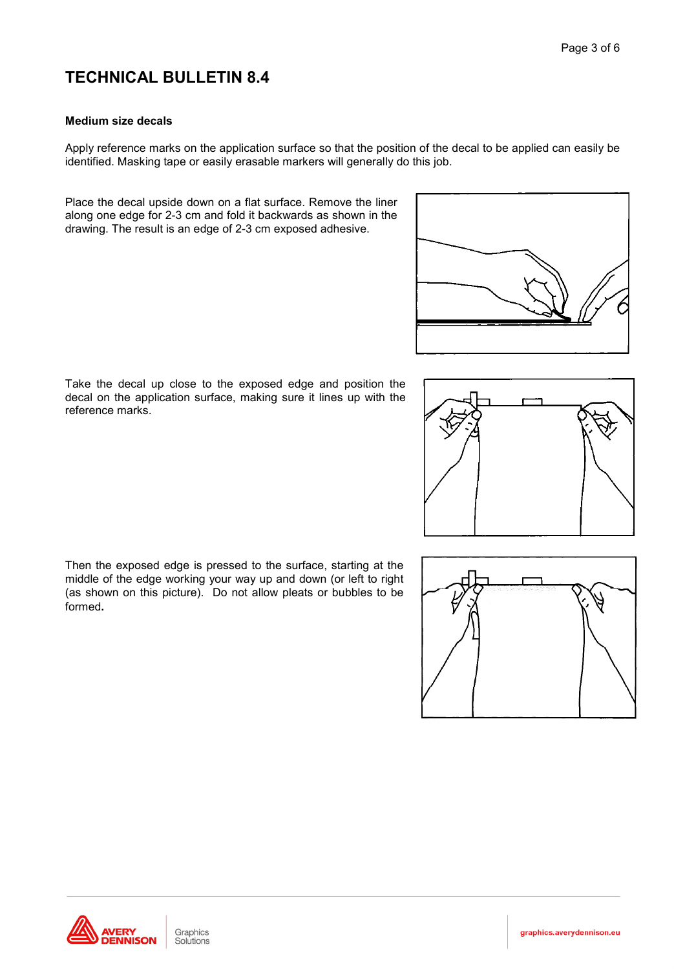#### **Medium size decals**

Apply reference marks on the application surface so that the position of the decal to be applied can easily be identified. Masking tape or easily erasable markers will generally do this job.

Place the decal upside down on a flat surface. Remove the liner along one edge for 2-3 cm and fold it backwards as shown in the drawing. The result is an edge of 2-3 cm exposed adhesive.



Take the decal up close to the exposed edge and position the decal on the application surface, making sure it lines up with the reference marks.







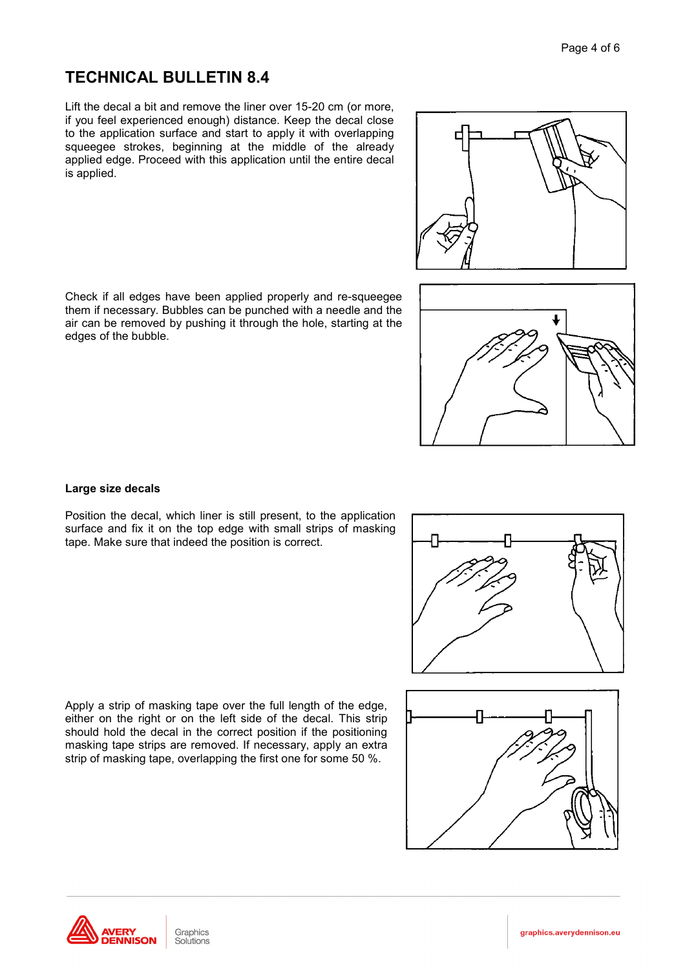Lift the decal a bit and remove the liner over 15-20 cm (or more, if you feel experienced enough) distance. Keep the decal close to the application surface and start to apply it with overlapping squeegee strokes, beginning at the middle of the already applied edge. Proceed with this application until the entire decal is applied.

Check if all edges have been applied properly and re-squeegee them if necessary. Bubbles can be punched with a needle and the air can be removed by pushing it through the hole, starting at the edges of the bubble.

### Large size decals

Position the decal, which liner is still present, to the application surface and fix it on the top edge with small strips of masking tape. Make sure that indeed the position is correct.

Apply a strip of masking tape over the full length of the edge, either on the right or on the left side of the decal. This strip should hold the decal in the correct position if the positioning masking tape strips are removed. If necessary, apply an extra strip of masking tape, overlapping the first one for some 50 %.









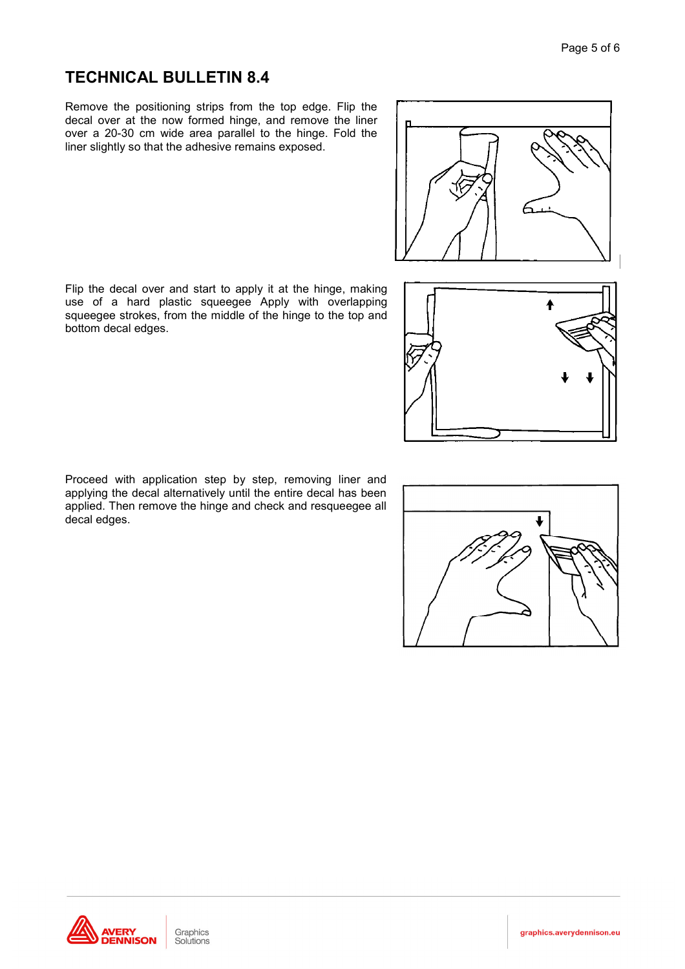Remove the positioning strips from the top edge. Flip the decal over at the now formed hinge, and remove the liner over a 20-30 cm wide area parallel to the hinge. Fold the liner slightly so that the adhesive remains exposed.

Flip the decal over and start to apply it at the hinge, making use of a hard plastic squeegee Apply with overlapping squeegee strokes, from the middle of the hinge to the top and bottom decal edges.

Proceed with application step by step, removing liner and applying the decal alternatively until the entire decal has been applied. Then remove the hinge and check and resqueegee all decal edges.